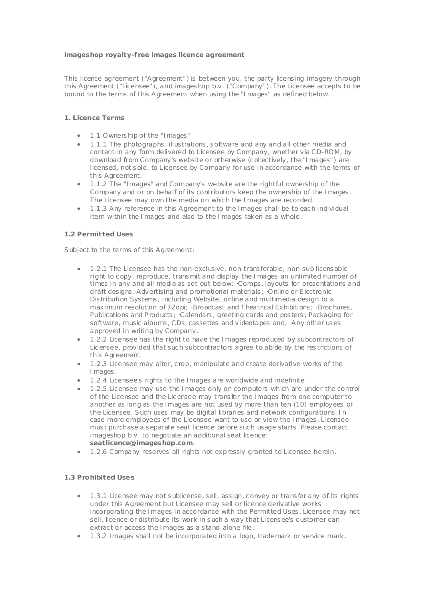### **imageshop royalty-f ree images licence agreement**

This licence agreement ("Agreement") is between you, the party licensing imagery through this Agreement ("Licensee"), and images hop b.v. ("Company"). The Licensee accepts to be bound to the terms of this Agreement when using the "Images" as defined below.

#### **1. Licence Terms**

- 1 .1 Owners hip of the "Images"
- 1 .1 .1 The photographs , illustrations , s oftware and any and all other media and content in any form delivered to Licensee by Company, whether via CD-ROM, by download from Company's website or otherwise (c ollectively, the "Images") are licensed, not s old, to Licensee by Company for use in accordance with the terms of this Agreement.
- 1 .1 .2 The "Images" and Company's website are the rightful ownership of the Company and or on behalf of its contributors keep the ownership of the Images . The Licensee may own the media on whic h the Images are recorded.
- 1 .1 .3 Any reference in this Agreement to the Images shall be to eac h individual item within the Images and also to the Images taken as a whole.

### **1.2 Permitted Uses**

Subject to the terms of this Agreement:

- 1 .2 .1 The Licensee has the non-exclusive, non-trans ferable, non-sub licens able right to copy, reproduce, transmit and display the I mages an unlimited number of times in any and all media as set out below: ·Comps , layouts for presentations and draft designs .·Advertising and promotional materials ; ·Online or E lectronic Dis tribution Systems , including Website, online and multimedia design to a maximum resolution of 72dpi; ·Broadcast and T heatrical Exhibitions ; ·Brochures, Publications and P roducts ; ·Calendars , greeting cards and pos ters ;·Packaging for software, music albums , CDs, cassettes and videotapes and; ·Any other us es approved in writing by Company.
- 1 .2 .2 Licensee has the right to have the Images reproduced by subcontrac tors of Lic ensee, provided that suc h subcontrac tors agree to abide by the res trictions of this Agreement.
- 1 .2 .3 Licensee may alter, c rop, manipulate and create derivative works of the I mages.
- 1 .2 .4 Licensee's rights to the Images are worldwide and indefinite.
- 1 .2 .5 .Lic ensee may use the Images only on computers which are under the control of the Licensee and the Lic ensee may trans fer the Images from one computer to another as long as the Images are not used by more than ten (10) employees of the Licensee. Such uses may be digital libraries and network configurations. I n case more employees of the Lic ensee want to use or view the Images , Licensee mus t purchase a s eparate seat licence before suc h usage starts . Please contact imageshop b.v. to negotiate an additional seat licence: **seat licence@imageshop.com**.
- 1 .2 .6 Company reserves all rights not expressly granted to Licensee herein.

### **1.3 Prohibited Uses**

- 1 .3 .1 Licensee may not s ublicense, sell, assign, c onvey or trans fer any of its rights under this Agreement but Licensee may sell or licence derivative works incorporating the Images in accordance with the Permitted Uses . Licensee may not sell, licence or distribute its work in s uch a way that Licens ee's c ustomer can extrac t or access the Images as a s tand-alone file.
- 1 .3 .2 Images shall not be incorporated into a logo, trademark or service mark.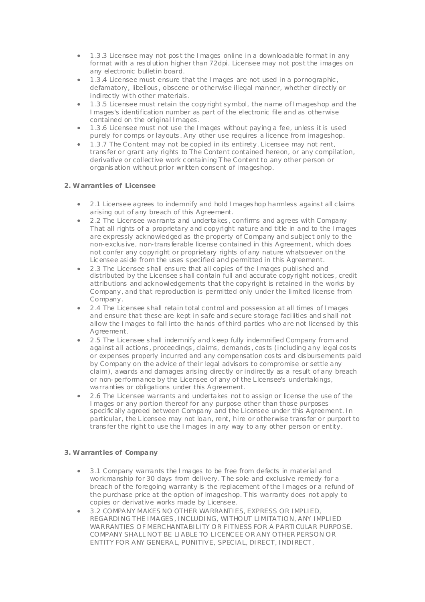- 1 .3 .3 Licensee may not pos t the Images online in a downloadable format in any format with a resolution higher than 72dpi. Licensee may not post the images on any electronic bulletin board.
- 1 .3 .4 Licensee must ensure that the Images are not used in a pornographic , defamatory, libellous , obscene or otherwise illegal manner, whether directly or indirec tly with other materials .
- 1 .3 .5 Licensee must retain the copyright symbol, the name of Imageshop and the Images's identification number as part of the electronic file and as otherwise contained on the original Images .
- 1 .3 .6 Licensee must not use the Images without paying a fee, unless it is used purely for comps or layouts . Any other use requires a licence from imageshop.
- 1 .3 .7 The Content may not be copied in its entirety. Licensee may not rent, trans fer or grant any rights to The Content contained hereon, or any compilation, derivative or collective work c ontaining T he Content to any other person or organis ation without prior written consent of imageshop.

## **2. Warrant ies of Licensee**

- 2 .1 Licensee agrees to indemnify and hold Images hop harmless agains t all c laims arising out of any breach of this Agreement.
- 2 .2 The Licensee warrants and undertakes , confirms and agrees with Company That all rights of a proprietary and c opyright nature and title in and to the Images are expressly acknowledged as the property of Company and subjec t only to the non-exclus ive, non-trans ferable license contained in this Agreement, which does not confer any copyright or proprietary rights of any nature whatsoever on the Lic ensee aside from the uses specified and permitted in this Agreement.
- 2 .3 The Licensee s hall ens ure that all copies of the Images published and distributed by the Licensee s hall contain full and accurate copyright notices , credit attributions and acknowledgements that the copyright is retained in the works by Company, and that reproduction is permitted only under the limited license from Company.
- 2 .4 The Licensee s hall retain total c ontrol and possession at all times of Images and ensure that these are kept in safe and s ecure s torage facilities and s hall not allow the Images to fall into the hands of third parties who are not licensed by this Agreement.
- 2 .5 The Licensee s hall indemnify and keep fully indemnified Company from and against all actions , proceedings , claims, demands , cos ts (including any legal cos ts or expenses properly incurred and any compensation cos ts and dis bursements paid by Company on the advice of their legal advisors to compromise or settle any claim), awards and damages aris ing direc tly or indirec tly as a result of any breach or non-performance by the Licensee of any of the Licensee's undertakings, warranties or obligations under this Agreement.
- 2 .6 The Licensee warrants and undertakes not to assign or license the use of the Images or any portion thereof for any purpose other than those purposes specific ally agreed between Company and the Licensee under this Agreement. In particular, the Licensee may not loan, rent, hire or otherwise trans fer or purport to trans fer the right to use the Images in any way to any other person or entity.

## **3. Warrant ies of Company**

- 3 .1 Company warrants the Images to be free from defects in material and workmanship for 30 days from delivery. T he sole and exclusive remedy for a breac h of the foregoing warranty is the replacement of the Images or a refund of the purchase price at the option of imageshop. T his warranty does not apply to copies or derivative works made by Licensee.
- 3 .2 COMPANY MAKES NO OTHER WARRANTIES, EXPRESS OR IMPLIED, REGARDING THE IMAGES , INCLUDING, WITHOUT LIMITATION, ANY IMPLIED WARRANTIES OF MERCHANTABILITY OR FITNESS FOR A PARTICULAR PURPOSE. COMPANY SHALL NOT BE LIABLE TO LICENCEE OR ANY OTHER PERSON OR ENTITY FOR ANY GENERAL, PUNITIVE, SPECIAL, DIRECT, INDIRECT ,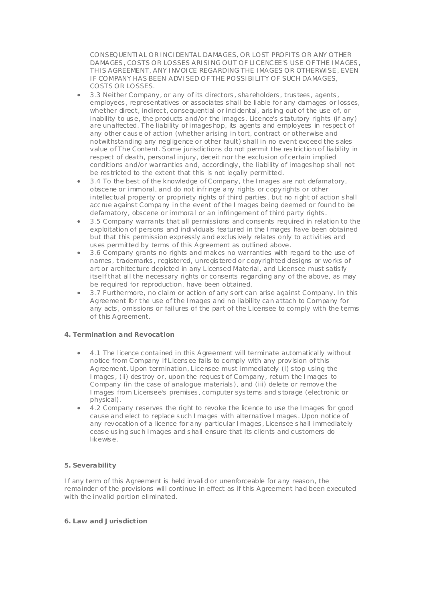CONSEQUENTIAL OR INCIDENTAL DAMAGES, OR LOST PROFITS OR ANY OTHER DAMAGES , COSTS OR LOSSES ARISING OUT OF LICENCEE'S USE OF THE IMAGES , THIS AGREEMENT, ANY INVOICE REGARDING THE IMAGES OR OTHERWISE , EVEN IF COMPANY HAS BEEN ADVISED OF THE POSSIBILITY OF SUCH DAMAGES, COSTS OR LOSSES.

- 3 .3 Neither Company, or any of its directors , shareholders , trus tees , agents , employees , representatives or associates s hall be liable for any damages or losses, whether direct, indirect, consequential or incidental, arising out of the use of, or inability to us e, the products and/or the images . Licence's s tatutory rights (if any) are unaffected. T he liability of images hop, its agents and employees in respec t of any other c aus e of action (whether arising in tort, c ontract or otherwise and notwithstanding any negligence or other fault) shall in no event exc eed the s ales value of The Content. Some jurisdictions do not permit the res triction of liability in respect of death, personal injury, deceit nor the exclusion of certain implied conditions and/or warranties and, accordingly, the liability of images hop shall not be res tricted to the extent that this is not legally permitted.
- 3 .4 To the best of the knowledge of Company, the Images are not defamatory, obscene or immoral, and do not infringe any rights or c opyrights or other intellec tual property or propriety rights of third parties , but no right of action s hall acc rue agains t Company in the event of the Images being deemed or found to be defamatory, obscene or immoral or an infringement of third party rights .
- 3 .5 Company warrants that all permissions and consents required in relation to the exploitation of persons and individuals featured in the Images have been obtained but that this permission expressly and exclus ively relates only to activities and us es permitted by terms of this Agreement as outlined above.
- 3 .6 Company grants no rights and makes no warranties with regard to the use of names , trademarks , registered, unregis tered or c opyrighted designs or works of art or architec ture depicted in any Licensed Material, and Licensee must satis fy itself that all the necessary rights or consents regarding any of the above, as may be required for reproduction, have been obtained.
- 3 .7 Furthermore, no claim or action of any s ort can arise against Company. In this Agreement for the use of the Images and no liability can attach to Company for any acts , omissions or failures of the part of the Licensee to comply with the terms of this Agreement.

# **4. Terminat ion and Revocat ion**

- 4 .1 The licence c ontained in this Agreement will terminate automatically without notice from Company if Licens ee fails to c omply with any provision of this Agreement. Upon termination, Licensee must immediately (i) s top using the Images , (ii) des troy or, upon the reques t of Company, return the Images to Company (in the case of analogue materials ), and (iii) delete or remove the Images from Licensee's premises , computer sys tems and s torage (electronic or physical).
- 4 .2 Company reserves the right to revoke the licence to use the Images for good cause and elect to replace s uch Images with alternative Images . Upon notice of any revocation of a licence for any partic ular Images , Licensee s hall immediately ceas e us ing suc h Images and s hall ensure that its c lients and c ustomers do likewis e.

### **5. Severability**

If any term of this Agreement is held invalid or unenforceable for any reason, the remainder of the provisions will continue in effect as if this Agreement had been executed with the invalid portion eliminated.

## **6. Law and Jurisdict ion**